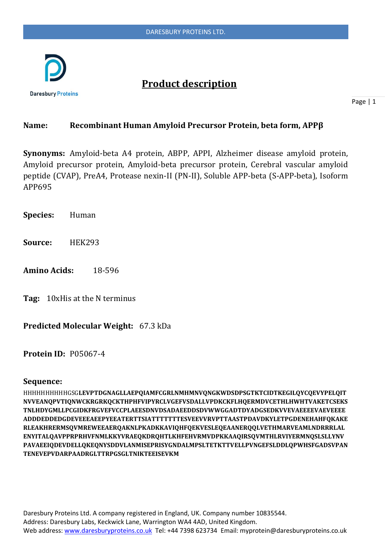

# **Product description**

Page | 1

### **Name: Recombinant Human Amyloid Precursor Protein, beta form, APPβ**

**Synonyms:** Amyloid-beta A4 protein, ABPP, APPI, Alzheimer disease amyloid protein, Amyloid precursor protein, Amyloid-beta precursor protein, Cerebral vascular amyloid peptide (CVAP), PreA4, Protease nexin-II (PN-II), Soluble APP-beta (S-APP-beta), Isoform APP695

**Species:** Human

**Source:** HEK293

**Amino Acids:** 18-596

**Tag:** 10xHis at the N terminus

**Predicted Molecular Weight:** 67.3 kDa

**Protein ID:** P05067-4

#### **Sequence:**

HHHHHHHHHHGSG**LEVPTDGNAGLLAEPQIAMFCGRLNMHMNVQNGKWDSDPSGTKTCIDTKEGILQYCQEVYPELQIT NVVEANQPVTIQNWCKRGRKQCKTHPHFVIPYRCLVGEFVSDALLVPDKCKFLHQERMDVCETHLHWHTVAKETCSEKS TNLHDYGMLLPCGIDKFRGVEFVCCPLAEESDNVDSADAEEDDSDVWWGGADTDYADGSEDKVVEVAEEEEVAEVEEEE ADDDEDDEDGDEVEEEAEEPYEEATERTTSIATTTTTTTESVEEVVRVPTTAASTPDAVDKYLETPGDENEHAHFQKAKE RLEAKHRERMSQVMREWEEAERQAKNLPKADKKAVIQHFQEKVESLEQEAANERQQLVETHMARVEAMLNDRRRLAL ENYITALQAVPPRPRHVFNMLKKYVRAEQKDRQHTLKHFEHVRMVDPKKAAQIRSQVMTHLRVIYERMNQSLSLLYNV PAVAEEIQDEVDELLQKEQNYSDDVLANMISEPRISYGNDALMPSLTETKTTVELLPVNGEFSLDDLQPWHSFGADSVPAN TENEVEPVDARPAADRGLTTRPGSGLTNIKTEEISEVKM**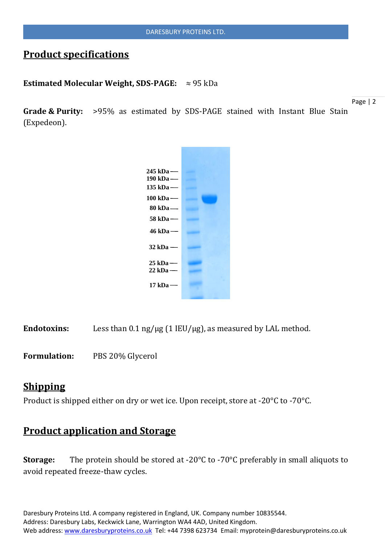## **Product specifications**

#### **Estimated Molecular Weight, SDS-PAGE:** ≈ 95 kDa

**Grade & Purity:** >95% as estimated by SDS-PAGE stained with Instant Blue Stain (Expedeon).

Page | 2



Endotoxins: Less than  $0.1$  ng/ $\mu$ g (1 IEU/ $\mu$ g), as measured by LAL method.

**Formulation:** PBS 20% Glycerol

## **Shipping**

Product is shipped either on dry or wet ice. Upon receipt, store at -20°C to -70°C.

## **Product application and Storage**

**Storage:** The protein should be stored at -20°C to -70°C preferably in small aliquots to avoid repeated freeze-thaw cycles.